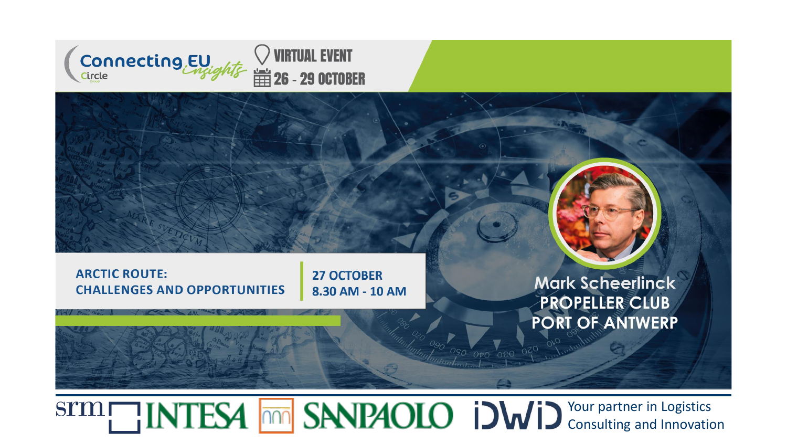

#### **ARCTIC ROUTE: CHALLENGES AND OPPORTUNITIES**

**27 OCTOBER** 8.30 AM - 10 AM

**Mark Scheerlinck** PROPELLER CLUB PORT OF ANTWERP

Your partner in Logistics Consulting and Innovation

 $\frac{1}{2}$  050 0to 060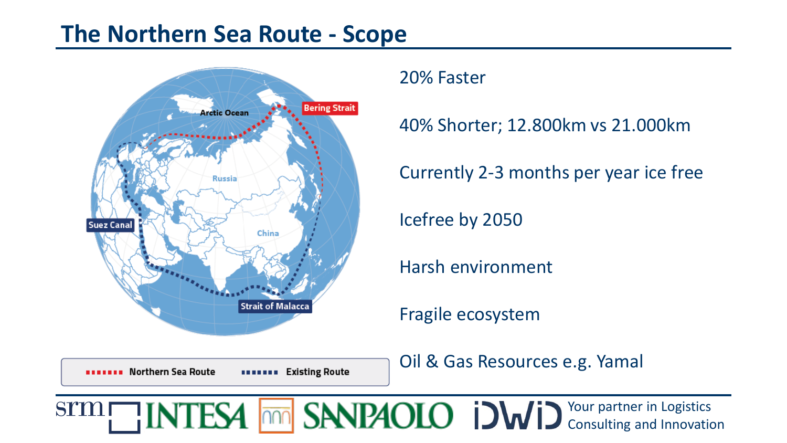## **The Northern Sea Route - Scope**



**BEREIFE Morthern Sea Route** 

20% Faster

40% Shorter; 12.800km vs 21.000km

Currently 2-3 months per year ice free

Icefree by 2050

Harsh environment

Fragile ecosystem

Oil & Gas Resources e.g. Yamal

Your partner in Logistics **STM** Consulting and Innovation

**BERETA Existing Route**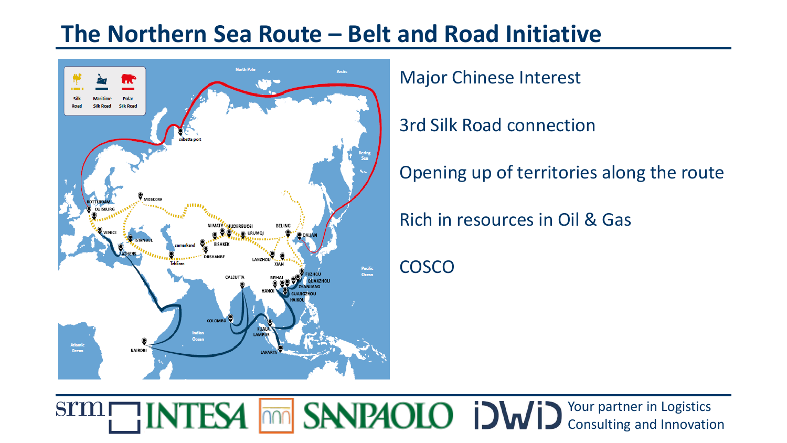## **The Northern Sea Route – Belt and Road Initiative**



Major Chinese Interest

3rd Silk Road connection

Opening up of territories along the route

Rich in resources in Oil & Gas

**COSCO**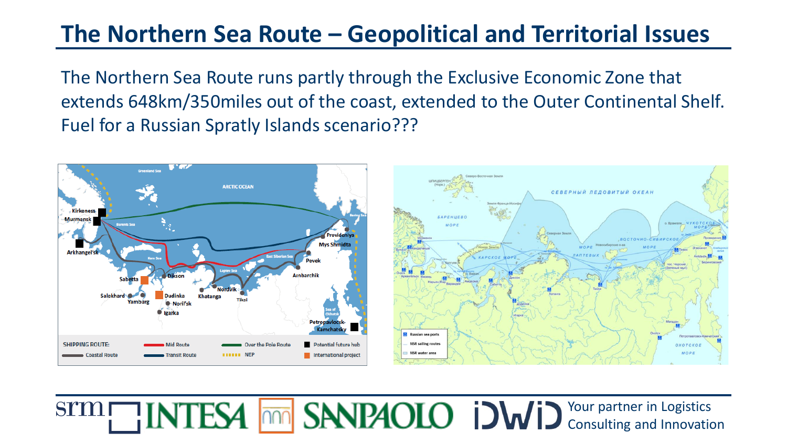## **The Northern Sea Route – Geopolitical and Territorial Issues**

The Northern Sea Route runs partly through the Exclusive Economic Zone that extends 648km/350miles out of the coast, extended to the Outer Continental Shelf. Fuel for a Russian Spratly Islands scenario???

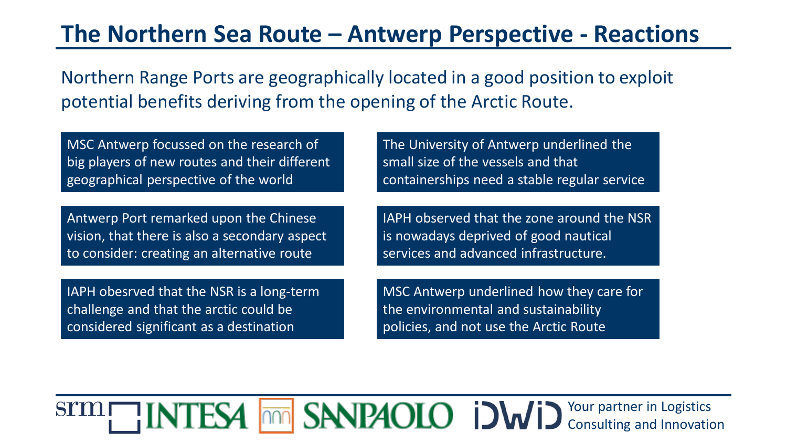### **The Northern Sea Route – Antwerp Perspective - Reactions**

Northern Range Ports are geographically located in a good position to exploit potential benefits deriving from the opening of the Arctic Route.

MSC Antwerp focussed on the research of big players of new routes and their different geographical perspective of the world

Antwerp Port remarked upon the Chinese vision, that there is also a secondary aspect to consider: creating an alternative route

IAPH obesrved that the NSR is a long-term challenge and that the arctic could be considered significant as a destination

The University of Antwerp underlined the small size of the vessels and that containerships need a stable regular service

IAPH observed that the zone around the NSR is nowadays deprived of good nautical services and advanced infrastructure.

MSC Antwerp underlined how they care for the environmental and sustainability policies, and not use the Arctic Route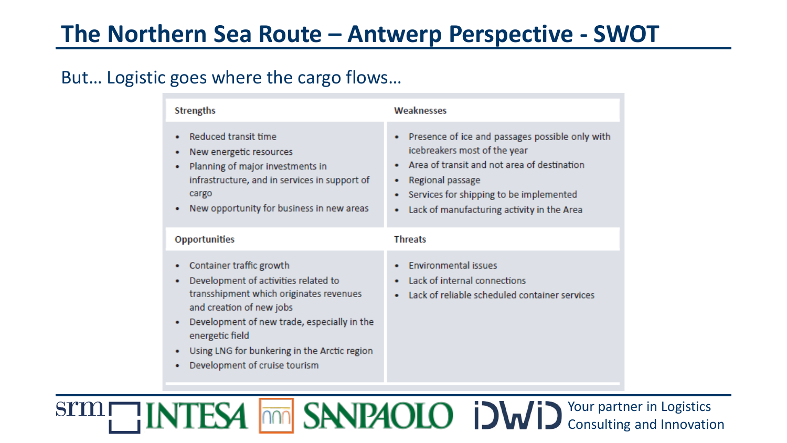# **The Northern Sea Route – Antwerp Perspective - SWOT**

#### But… Logistic goes where the cargo flows…

| <b>Strengths</b>                                                                                                                                                                                                                                                                                     | Weaknesses                                                                                                                                                                                                                                       |
|------------------------------------------------------------------------------------------------------------------------------------------------------------------------------------------------------------------------------------------------------------------------------------------------------|--------------------------------------------------------------------------------------------------------------------------------------------------------------------------------------------------------------------------------------------------|
| Reduced transit time<br>New energetic resources<br>Planning of major investments in<br>infrastructure, and in services in support of<br>cargo<br>New opportunity for business in new areas<br>٠                                                                                                      | Presence of ice and passages possible only with<br>icebreakers most of the year<br>Area of transit and not area of destination<br>Regional passage<br>٠<br>Services for shipping to be implemented<br>Lack of manufacturing activity in the Area |
| <b>Opportunities</b>                                                                                                                                                                                                                                                                                 | <b>Threats</b>                                                                                                                                                                                                                                   |
| Container traffic growth<br>Development of activities related to<br>transshipment which originates revenues<br>and creation of new jobs<br>Development of new trade, especially in the<br>٠<br>energetic field<br>Using LNG for bunkering in the Arctic region<br>٠<br>Development of cruise tourism | <b>Environmental issues</b><br>Lack of internal connections<br>Lack of reliable scheduled container services                                                                                                                                     |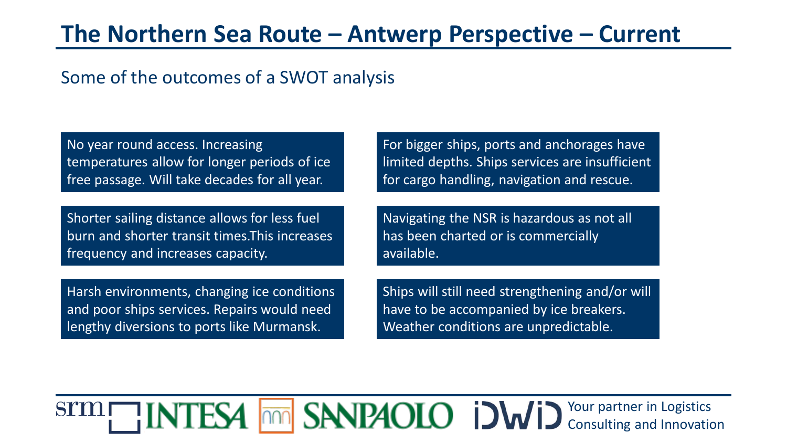### **The Northern Sea Route – Antwerp Perspective – Current**

### Some of the outcomes of a SWOT analysis

No year round access. Increasing temperatures allow for longer periods of ice free passage. Will take decades for all year.

Shorter sailing distance allows for less fuel burn and shorter transit times.This increases frequency and increases capacity.

Harsh environments, changing ice conditions and poor ships services. Repairs would need lengthy diversions to ports like Murmansk.

For bigger ships, ports and anchorages have limited depths. Ships services are insufficient for cargo handling, navigation and rescue.

Navigating the NSR is hazardous as not all has been charted or is commercially available.

Ships will still need strengthening and/or will have to be accompanied by ice breakers. Weather conditions are unpredictable.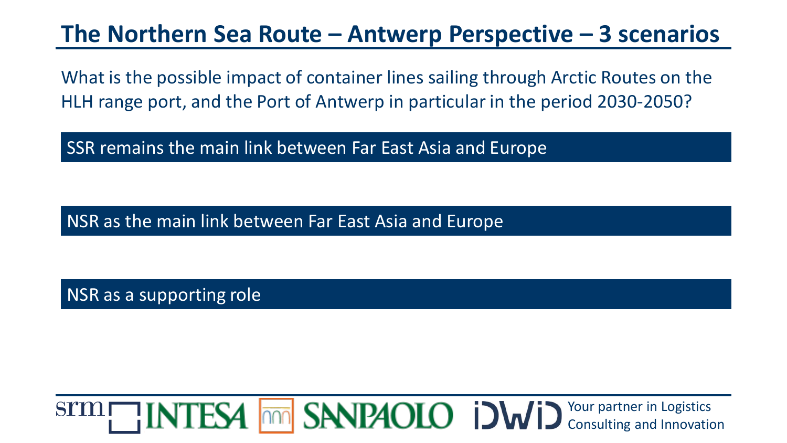### **The Northern Sea Route – Antwerp Perspective – 3 scenarios**

What is the possible impact of container lines sailing through Arctic Routes on the HLH range port, and the Port of Antwerp in particular in the period 2030-2050?

SSR remains the main link between Far East Asia and Europe

NSR as the main link between Far East Asia and Europe

NSR as a supporting role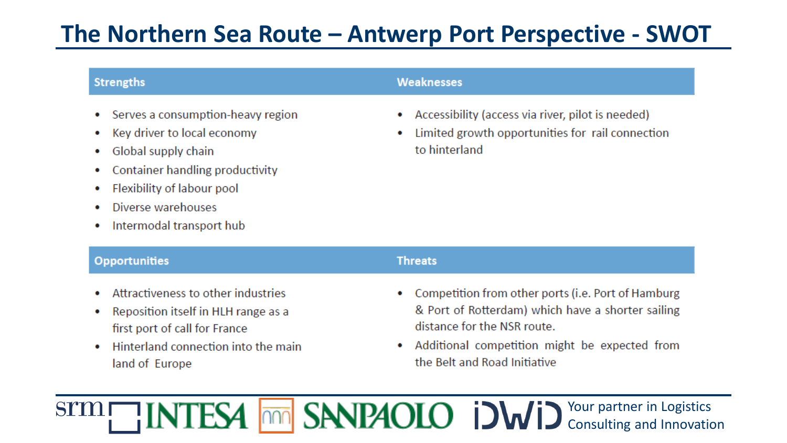# **The Northern Sea Route – Antwerp Port Perspective - SWOT**

#### **Strengths**

 $\bullet$ 

Serves a consumption-heavy region  $\bullet$ 

Hinterland connection into the main

- Key driver to local economy
- Global supply chain
- Container handling productivity ۰
- Flexibility of labour pool ۰
- Diverse warehouses ۰

land of Europe

Intermodal transport hub  $\bullet$ 

#### **Weaknesses**

- Accessibility (access via river, pilot is needed)
- Limited growth opportunities for rail connection to hinterland

| <b>Opportunities</b> |                                       | <b>Threats</b>                                       |
|----------------------|---------------------------------------|------------------------------------------------------|
|                      | • Attractiveness to other industries  | • Competition from other ports (i.e. Port of Hamburg |
|                      | • Reposition itself in HLH range as a | & Port of Rotterdam) which have a shorter sailing    |
|                      | first port of call for France         | distance for the NSR route.                          |

• Additional competition might be expected from the Belt and Road Initiative